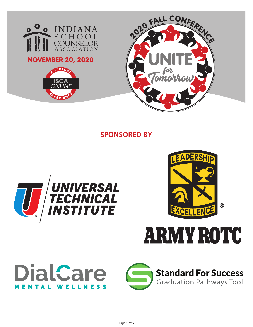

**SPONSORED BY**





**ARMY ROTC** 



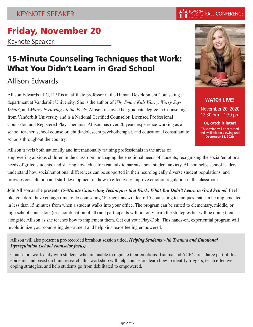# Friday, November 20

Keynote Speaker

# 15-Minute Counseling Techniques that Work: What You Didn't Learn in Grad School

# Allison Edwards

Allison Edwards LPC, RPT is an affiliate professor in the Human Development Counseling department at Vanderbilt University. She is the author of *Why Smart Kids Worry, Worry Says What?*, and *Marcy Is Having All the Feels*. Allison received her graduate degree in Counseling from Vanderbilt University and is a National Certified Counselor, Licensed Professional Counselor, and Registered Play Therapist. Allison has over 20 years experience working as a school teacher, school counselor, child/adolescent psychotherapist, and educational consultant to schools throughout the country.

Allison travels both nationally and internationally training professionals in the areas of

empowering anxious children in the classroom, managing the emotional needs of students, recognizing the social/emotional needs of gifted students, and sharing how educators can talk to parents about student anxiety. Allison helps school leaders understand how social/emotional differences can be supported in their neurologically diverse student populations, and provides consultation and staff development on how to effectively improve emotion regulation in the classroom.

Join Allison as she presents *15-Minute Counseling Techniques that Work: What You Didn't Learn in Grad School*. Feel like you don't have enough time to do counseling? Participants will learn 15 counseling techniques that can be implemented in less than 15 minutes from when a student walks into your office. The program can be suited to elementary, middle, or high school counselors (or a combination of all) and participants will not only learn the strategies but will be doing them alongside Allison as she teaches how to implement them. Get out your Play-Doh! This hands-on, experiential program will revolutionize your counseling department and help kids leave feeling empowered.

Allison will also present a pre-recorded breakout session titled, *Helping Students with Trauma and Emotional Dysregulation (school counselor focus).*

Counselors work daily with students who are unable to regulate their emotions. Trauma and ACE's are a large part of this epidemic and based on brain research, this workshop will help counselors learn how to identify triggers, teach effective coping strategies, and help students go from debilitated to empowered.



WATCH LIVE!

November 20, 2020 12:30 pm – 1:30 pm

Or, catch it later! This session will be recorded and available for viewing until December 31, 2020.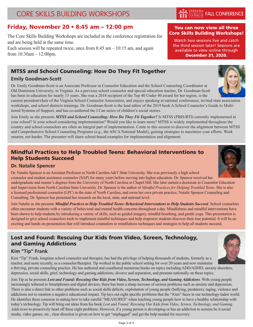# **CORE SKILLS BUILDING WORKSHOPS**

# Friday, November 20 • 8:45 am – 12:00 pm

The Core Skills Building Workshops are included in the conference registration fee and are being held at the same time.

Each session will be repeated twice, once from  $8:45$  am  $-10:15$  am, and again from 10:30am – 12:00pm.

# MTSS and School Counseling: How Do They Fit Together

## **Emily Goodman-Scott**

Dr. Emily Goodman-Scott is an Associate Professor in Counselor Education and the School Counseling Coordinator at Old Dominion University, in Virginia. As a previous school counselor and special education teacher, Dr. Goodman-Scott has been in education for nearly 15 years. She was a 2018 recipient of the Top 40 Under 40 award for her region, is the

current president/chair of the Virginia School Counselor Association, and enjoys speaking at national conferences, invited state association workshops, and school districts trainings. Dr. Goodman-Scott is the lead editor of the 2019 book A School Counselor's Guide to Multitiered Systems of Support, and has co-authored the I Can series of children's social stories.

Join Emily as she presents *MTSS and School Counseling: How Do They Fit Together?* Is MTSS (PBIS/RTI) currently implemented in your school? Is your school considering implementation? Would you like to learn more? MTSS is widely implemented throughout the country and school counselors are often an integral part of implementation. Come to this session to discover the alignment between MTSS and Comprehensive School Counseling Programs (e.g., the ASCA National Model), gaining strategies to maximize your efforts. Work smarter, not harder. The presenter will share school-based examples for implementation and alignment.

# Mindful Practices to Help Troubled Teens: Behavioral Interventions to Help Students Succeed

## **Dr. Natalie Spencer**

Dr. Natalie Spencer is an Assistant Professor at North Carolina A&T State University. She was previously a high school counselor and student assistance counselor (SAP) for many years before moving into higher education. Dr. Spencer received her undergraduate and master's degrees from the University of North Carolina at Chapel Hill. She later earned a doctorate in Counselor Education and Supervision from North Carolina State University. Dr. Spencer is the author of *Mindful Practices for Helping Troubled Teens*. She is also a licensed professional counselor (LPC) in the state of North Carolina, and owns her own private practice, Natalie Spencer Counseling and Consulting. Dr. Spencer has presented her research on the local, state, and national level.

Join Natalie as she presents *Mindful Practices to Help Troubled Teens: Behavioral Interventions to Help Students Succeed*. School counselors often encounter students with a variety of behavioral and mental health concerns throughout a day. Mindfulness and mindful interventions have been shown to help students by introducing a variety of skills, such as guided imagery, mindful breathing, and gentle yoga. This presentation is designed to give school counselors tools to implement mindful techniques and help empower students discover their true potential. It will be an exciting and hands on presentation that will introduce counselors to mindfulness techniques and strategies to help all students succeed.

# Lost and Found: Rescuing Our Kids from Video, Screen, Technology, and Gaming Addictions

## **Kim "Tip" Frank**

Kim "Tip" Frank, longtime school counselor and therapist, has had the privilege of helping thousands of students, formerly as a teacher, and more recently, as a counselor/therapist. Tip worked in the public school setting for over 20 years and now maintains a thriving, private counseling practice. He has authored and coauthored numerous books on topics including ADD/ADHD, anxiety disorders, depression, social skills, grief, technology and gaming addictions, divorce and separation, and presents nationally on these topics.

Join Tip as he presents *Lost and Found: Rescuing Our Kids from Video, Screen, Technology, and Gaming Addictions*. With young people increasingly tethered to Smartphones and digital devices, there has been a sharp increase of serious problems such as anxiety and depression. There is also a direct link to other problems such as social skills deficits, exploitation of young people (bullying, predators), raging, violence and addictions not to mention a negative educational impact. Tip lays out eight specific problems that the "iGen" faces in our technology-laden world. He identifies these concerns in stating how to take careful "MEASURES" when teaching young people how to have a healthy relationship with today's technology. Tip will bring out ideas from his book *Lost and Found: Rescuing Our Kids from Video, Screen, Technology, and Gaming Addictions* to proactively head off these eight problems. However, if a young person is developing or has an addiction to screens be it social media, video games, etc., clear direction is given on how to get "unplugged" and get the help needed for recovery.







### You can now view all three Core Skills Building Workshops!

Watch two sessions live and catch the third session later! Sessions are available to view online through December 31, 2020.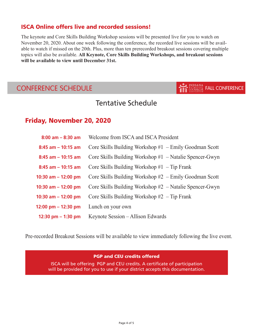## ISCA Online offers live and recorded sessions!

The keynote and Core Skills Building Workshop sessions will be presented live for you to watch on November 20, 2020. About one week following the conference, the recorded live sessions will be available to watch if missed on the 20th. Plus, more than ten prerecorded breakout sessions covering multiple topics will also be available. **All Keynote, Core Skills Building Workshops, and breakout sessions will be available to view until December 31st.**

# CONFERENCE SCHEDULE THE SCHOOL FALL CONFERENCE

# Tentative Schedule

# Friday, November 20, 2020

| $8:00$ am $-8:30$ am  | Welcome from ISCA and ISCA President                      |
|-----------------------|-----------------------------------------------------------|
| $8:45$ am $-10:15$ am | Core Skills Building Workshop $#1$ – Emily Goodman Scott  |
| $8:45$ am $-10:15$ am | Core Skills Building Workshop $#1 -$ Natalie Spencer-Gwyn |
| $8:45$ am $-10:15$ am | Core Skills Building Workshop $#1$ – Tip Frank            |
| 10:30 am $-$ 12:00 pm | Core Skills Building Workshop $#2$ – Emily Goodman Scott  |
| 10:30 am $-$ 12:00 pm | Core Skills Building Workshop $#2 -$ Natalie Spencer-Gwyn |
| 10:30 am $-$ 12:00 pm | Core Skills Building Workshop $#2$ – Tip Frank            |
| 12:00 pm $-$ 12:30 pm | Lunch on your own                                         |
| 12:30 pm $-$ 1:30 pm  | Keynote Session – Allison Edwards                         |

Pre-recorded Breakout Sessions will be available to view immediately following the live event.

#### PGP and CEU credits offered

ISCA will be offering PGP and CEU credits. A certificate of participation will be provided for you to use if your district accepts this documentation.